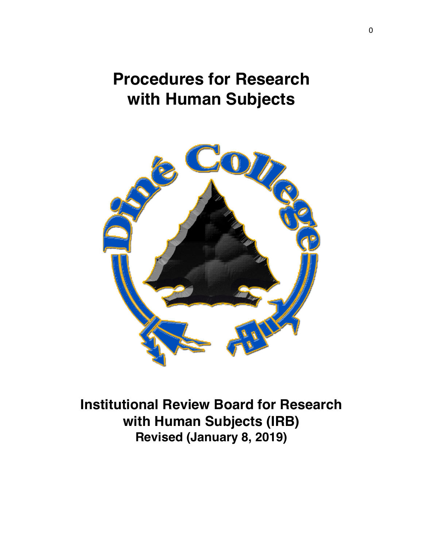# **Procedures for Research with Human Subjects**



**Institutional Review Board for Research with Human Subjects (IRB) Revised (January 8, 2019)**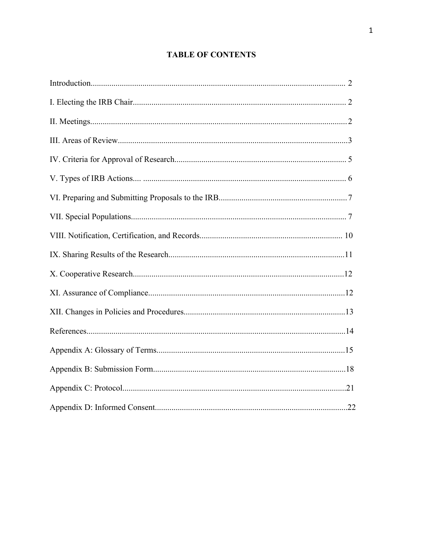# **TABLE OF CONTENTS**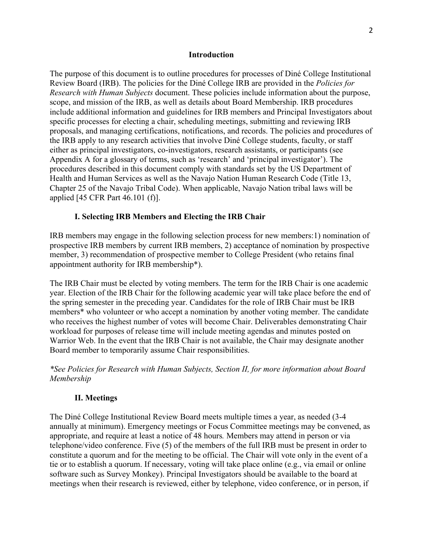### **Introduction**

The purpose of this document is to outline procedures for processes of Diné College Institutional Review Board (IRB). The policies for the Diné College IRB are provided in the *Policies for Research with Human Subjects* document. These policies include information about the purpose, scope, and mission of the IRB, as well as details about Board Membership. IRB procedures include additional information and guidelines for IRB members and Principal Investigators about specific processes for electing a chair, scheduling meetings, submitting and reviewing IRB proposals, and managing certifications, notifications, and records. The policies and procedures of the IRB apply to any research activities that involve Diné College students, faculty, or staff either as principal investigators, co-investigators, research assistants, or participants (see Appendix A for a glossary of terms, such as 'research' and 'principal investigator'). The procedures described in this document comply with standards set by the US Department of Health and Human Services as well as the Navajo Nation Human Research Code (Title 13, Chapter 25 of the Navajo Tribal Code). When applicable, Navajo Nation tribal laws will be applied [45 CFR Part 46.101 (f)].

### **I. Selecting IRB Members and Electing the IRB Chair**

IRB members may engage in the following selection process for new members:1) nomination of prospective IRB members by current IRB members, 2) acceptance of nomination by prospective member, 3) recommendation of prospective member to College President (who retains final appointment authority for IRB membership\*).

The IRB Chair must be elected by voting members. The term for the IRB Chair is one academic year. Election of the IRB Chair for the following academic year will take place before the end of the spring semester in the preceding year. Candidates for the role of IRB Chair must be IRB members\* who volunteer or who accept a nomination by another voting member. The candidate who receives the highest number of votes will become Chair. Deliverables demonstrating Chair workload for purposes of release time will include meeting agendas and minutes posted on Warrior Web. In the event that the IRB Chair is not available, the Chair may designate another Board member to temporarily assume Chair responsibilities.

*\*See Policies for Research with Human Subjects, Section II, for more information about Board Membership*

### **II. Meetings**

The Diné College Institutional Review Board meets multiple times a year, as needed (3-4 annually at minimum). Emergency meetings or Focus Committee meetings may be convened, as appropriate, and require at least a notice of 48 hours*.* Members may attend in person or via telephone/video conference. Five (5) of the members of the full IRB must be present in order to constitute a quorum and for the meeting to be official. The Chair will vote only in the event of a tie or to establish a quorum. If necessary, voting will take place online (e.g., via email or online software such as Survey Monkey). Principal Investigators should be available to the board at meetings when their research is reviewed, either by telephone, video conference, or in person, if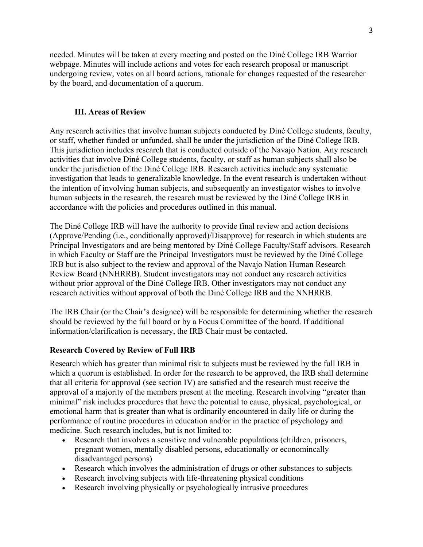needed. Minutes will be taken at every meeting and posted on the Diné College IRB Warrior webpage. Minutes will include actions and votes for each research proposal or manuscript undergoing review, votes on all board actions, rationale for changes requested of the researcher by the board, and documentation of a quorum.

### **III. Areas of Review**

Any research activities that involve human subjects conducted by Diné College students, faculty, or staff, whether funded or unfunded, shall be under the jurisdiction of the Diné College IRB. This jurisdiction includes research that is conducted outside of the Navajo Nation. Any research activities that involve Diné College students, faculty, or staff as human subjects shall also be under the jurisdiction of the Diné College IRB. Research activities include any systematic investigation that leads to generalizable knowledge. In the event research is undertaken without the intention of involving human subjects, and subsequently an investigator wishes to involve human subjects in the research, the research must be reviewed by the Diné College IRB in accordance with the policies and procedures outlined in this manual.

The Diné College IRB will have the authority to provide final review and action decisions (Approve/Pending (i.e., conditionally approved)/Disapprove) for research in which students are Principal Investigators and are being mentored by Diné College Faculty/Staff advisors. Research in which Faculty or Staff are the Principal Investigators must be reviewed by the Diné College IRB but is also subject to the review and approval of the Navajo Nation Human Research Review Board (NNHRRB). Student investigators may not conduct any research activities without prior approval of the Diné College IRB. Other investigators may not conduct any research activities without approval of both the Diné College IRB and the NNHRRB.

The IRB Chair (or the Chair's designee) will be responsible for determining whether the research should be reviewed by the full board or by a Focus Committee of the board. If additional information/clarification is necessary, the IRB Chair must be contacted.

### **Research Covered by Review of Full IRB**

Research which has greater than minimal risk to subjects must be reviewed by the full IRB in which a quorum is established. In order for the research to be approved, the IRB shall determine that all criteria for approval (see section IV) are satisfied and the research must receive the approval of a majority of the members present at the meeting. Research involving "greater than minimal" risk includes procedures that have the potential to cause, physical, psychological, or emotional harm that is greater than what is ordinarily encountered in daily life or during the performance of routine procedures in education and/or in the practice of psychology and medicine. Such research includes, but is not limited to:

- Research that involves a sensitive and vulnerable populations (children, prisoners, pregnant women, mentally disabled persons, educationally or economincally disadvantaged persons)
- Research which involves the administration of drugs or other substances to subjects
- Research involving subjects with life-threatening physical conditions
- Research involving physically or psychologically intrusive procedures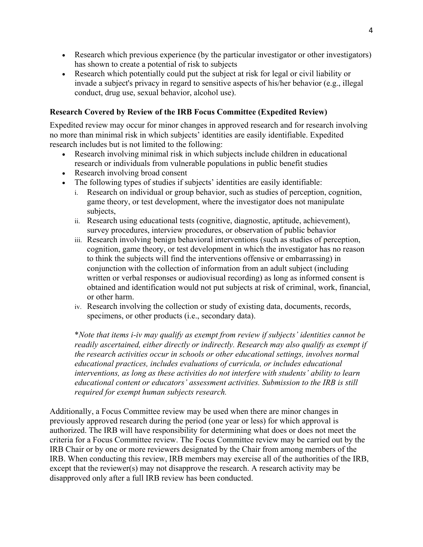- Research which previous experience (by the particular investigator or other investigators) has shown to create a potential of risk to subjects
- Research which potentially could put the subject at risk for legal or civil liability or invade a subject's privacy in regard to sensitive aspects of his/her behavior (e.g., illegal conduct, drug use, sexual behavior, alcohol use).

## **Research Covered by Review of the IRB Focus Committee (Expedited Review)**

Expedited review may occur for minor changes in approved research and for research involving no more than minimal risk in which subjects' identities are easily identifiable. Expedited research includes but is not limited to the following:

- Research involving minimal risk in which subjects include children in educational research or individuals from vulnerable populations in public benefit studies
- Research involving broad consent
- The following types of studies if subjects' identities are easily identifiable:
	- i. Research on individual or group behavior, such as studies of perception, cognition, game theory, or test development, where the investigator does not manipulate subjects,
	- ii. Research using educational tests (cognitive, diagnostic, aptitude, achievement), survey procedures, interview procedures, or observation of public behavior
	- iii. Research involving benign behavioral interventions (such as studies of perception, cognition, game theory, or test development in which the investigator has no reason to think the subjects will find the interventions offensive or embarrassing) in conjunction with the collection of information from an adult subject (including written or verbal responses or audiovisual recording) as long as informed consent is obtained and identification would not put subjects at risk of criminal, work, financial, or other harm.
	- iv. Research involving the collection or study of existing data, documents, records, specimens, or other products (i.e., secondary data).

\**Note that items i-iv may qualify as exempt from review if subjects' identities cannot be readily ascertained, either directly or indirectly. Research may also qualify as exempt if the research activities occur in schools or other educational settings, involves normal educational practices, includes evaluations of curricula, or includes educational interventions, as long as these activities do not interfere with students' ability to learn educational content or educators' assessment activities. Submission to the IRB is still required for exempt human subjects research.*

Additionally, a Focus Committee review may be used when there are minor changes in previously approved research during the period (one year or less) for which approval is authorized. The IRB will have responsibility for determining what does or does not meet the criteria for a Focus Committee review. The Focus Committee review may be carried out by the IRB Chair or by one or more reviewers designated by the Chair from among members of the IRB. When conducting this review, IRB members may exercise all of the authorities of the IRB, except that the reviewer(s) may not disapprove the research. A research activity may be disapproved only after a full IRB review has been conducted.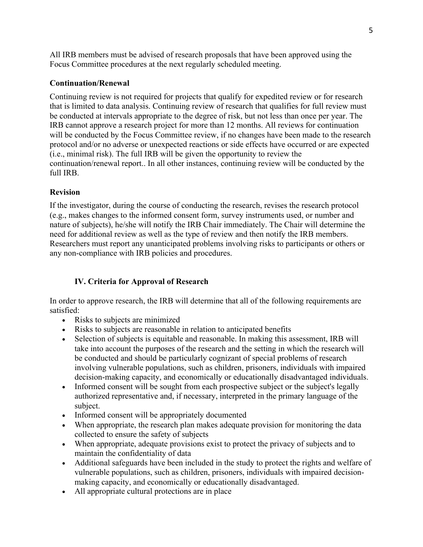All IRB members must be advised of research proposals that have been approved using the Focus Committee procedures at the next regularly scheduled meeting.

### **Continuation/Renewal**

Continuing review is not required for projects that qualify for expedited review or for research that is limited to data analysis. Continuing review of research that qualifies for full review must be conducted at intervals appropriate to the degree of risk, but not less than once per year. The IRB cannot approve a research project for more than 12 months. All reviews for continuation will be conducted by the Focus Committee review, if no changes have been made to the research protocol and/or no adverse or unexpected reactions or side effects have occurred or are expected (i.e., minimal risk). The full IRB will be given the opportunity to review the continuation/renewal report.. In all other instances, continuing review will be conducted by the full IRB.

### **Revision**

If the investigator, during the course of conducting the research, revises the research protocol (e.g., makes changes to the informed consent form, survey instruments used, or number and nature of subjects), he/she will notify the IRB Chair immediately. The Chair will determine the need for additional review as well as the type of review and then notify the IRB members. Researchers must report any unanticipated problems involving risks to participants or others or any non-compliance with IRB policies and procedures.

# **IV. Criteria for Approval of Research**

In order to approve research, the IRB will determine that all of the following requirements are satisfied:

- Risks to subjects are minimized
- Risks to subjects are reasonable in relation to anticipated benefits
- Selection of subjects is equitable and reasonable. In making this assessment, IRB will take into account the purposes of the research and the setting in which the research will be conducted and should be particularly cognizant of special problems of research involving vulnerable populations, such as children, prisoners, individuals with impaired decision-making capacity, and economically or educationally disadvantaged individuals.
- Informed consent will be sought from each prospective subject or the subject's legally authorized representative and, if necessary, interpreted in the primary language of the subject.
- Informed consent will be appropriately documented
- When appropriate, the research plan makes adequate provision for monitoring the data collected to ensure the safety of subjects
- When appropriate, adequate provisions exist to protect the privacy of subjects and to maintain the confidentiality of data
- Additional safeguards have been included in the study to protect the rights and welfare of vulnerable populations, such as children, prisoners, individuals with impaired decisionmaking capacity, and economically or educationally disadvantaged.
- All appropriate cultural protections are in place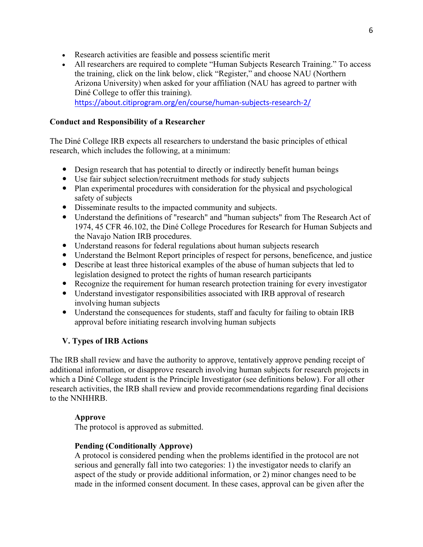- Research activities are feasible and possess scientific merit
- All researchers are required to complete "Human Subjects Research Training." To access the training, click on the link below, click "Register," and choose NAU (Northern Arizona University) when asked for your affiliation (NAU has agreed to partner with Diné College to offer this training). https://about.citiprogram.org/en/course/human-subjects-research-2/

### **Conduct and Responsibility of a Researcher**

The Diné College IRB expects all researchers to understand the basic principles of ethical research, which includes the following, at a minimum:

- Design research that has potential to directly or indirectly benefit human beings
- Use fair subject selection/recruitment methods for study subjects
- Plan experimental procedures with consideration for the physical and psychological safety of subjects
- Disseminate results to the impacted community and subjects.
- Understand the definitions of "research" and "human subjects" from The Research Act of 1974, 45 CFR 46.102, the Diné College Procedures for Research for Human Subjects and the Navajo Nation IRB procedures.
- Understand reasons for federal regulations about human subjects research
- Understand the Belmont Report principles of respect for persons, beneficence, and justice
- Describe at least three historical examples of the abuse of human subjects that led to legislation designed to protect the rights of human research participants
- Recognize the requirement for human research protection training for every investigator
- Understand investigator responsibilities associated with IRB approval of research involving human subjects
- Understand the consequences for students, staff and faculty for failing to obtain IRB approval before initiating research involving human subjects

# **V. Types of IRB Actions**

The IRB shall review and have the authority to approve, tentatively approve pending receipt of additional information, or disapprove research involving human subjects for research projects in which a Diné College student is the Principle Investigator (see definitions below). For all other research activities, the IRB shall review and provide recommendations regarding final decisions to the NNHHRB.

### **Approve**

The protocol is approved as submitted.

### **Pending (Conditionally Approve)**

A protocol is considered pending when the problems identified in the protocol are not serious and generally fall into two categories: 1) the investigator needs to clarify an aspect of the study or provide additional information, or 2) minor changes need to be made in the informed consent document. In these cases, approval can be given after the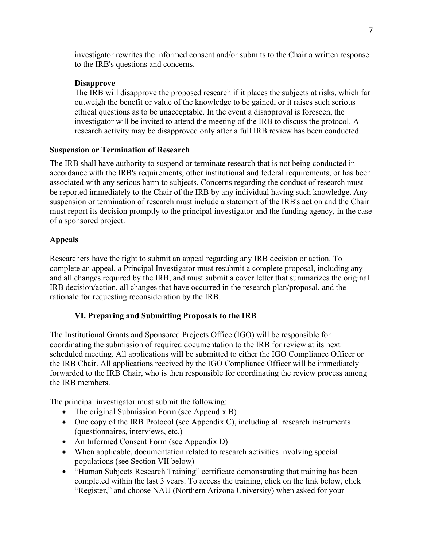investigator rewrites the informed consent and/or submits to the Chair a written response to the IRB's questions and concerns.

### **Disapprove**

The IRB will disapprove the proposed research if it places the subjects at risks, which far outweigh the benefit or value of the knowledge to be gained, or it raises such serious ethical questions as to be unacceptable. In the event a disapproval is foreseen, the investigator will be invited to attend the meeting of the IRB to discuss the protocol. A research activity may be disapproved only after a full IRB review has been conducted.

### **Suspension or Termination of Research**

The IRB shall have authority to suspend or terminate research that is not being conducted in accordance with the IRB's requirements, other institutional and federal requirements, or has been associated with any serious harm to subjects. Concerns regarding the conduct of research must be reported immediately to the Chair of the IRB by any individual having such knowledge. Any suspension or termination of research must include a statement of the IRB's action and the Chair must report its decision promptly to the principal investigator and the funding agency, in the case of a sponsored project.

### **Appeals**

Researchers have the right to submit an appeal regarding any IRB decision or action. To complete an appeal, a Principal Investigator must resubmit a complete proposal, including any and all changes required by the IRB, and must submit a cover letter that summarizes the original IRB decision/action, all changes that have occurred in the research plan/proposal, and the rationale for requesting reconsideration by the IRB.

### **VI. Preparing and Submitting Proposals to the IRB**

The Institutional Grants and Sponsored Projects Office (IGO) will be responsible for coordinating the submission of required documentation to the IRB for review at its next scheduled meeting. All applications will be submitted to either the IGO Compliance Officer or the IRB Chair. All applications received by the IGO Compliance Officer will be immediately forwarded to the IRB Chair, who is then responsible for coordinating the review process among the IRB members.

The principal investigator must submit the following:

- The original Submission Form (see Appendix B)
- One copy of the IRB Protocol (see Appendix C), including all research instruments (questionnaires, interviews, etc.)
- An Informed Consent Form (see Appendix D)
- When applicable, documentation related to research activities involving special populations (see Section VII below)
- "Human Subjects Research Training" certificate demonstrating that training has been completed within the last 3 years. To access the training, click on the link below, click "Register," and choose NAU (Northern Arizona University) when asked for your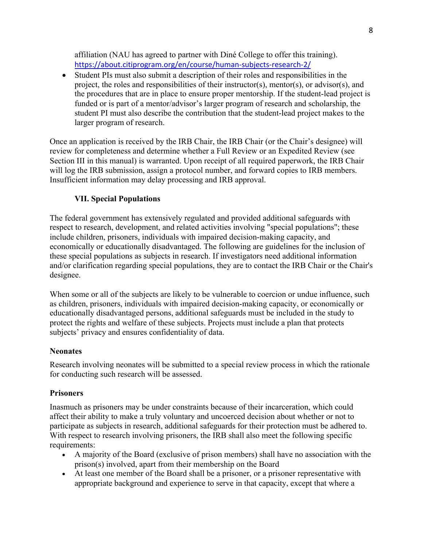affiliation (NAU has agreed to partner with Diné College to offer this training). https://about.citiprogram.org/en/course/human-subjects-research-2/

• Student PIs must also submit a description of their roles and responsibilities in the project, the roles and responsibilities of their instructor(s), mentor(s), or advisor(s), and the procedures that are in place to ensure proper mentorship. If the student-lead project is funded or is part of a mentor/advisor's larger program of research and scholarship, the student PI must also describe the contribution that the student-lead project makes to the larger program of research.

Once an application is received by the IRB Chair, the IRB Chair (or the Chair's designee) will review for completeness and determine whether a Full Review or an Expedited Review (see Section III in this manual) is warranted. Upon receipt of all required paperwork, the IRB Chair will log the IRB submission, assign a protocol number, and forward copies to IRB members. Insufficient information may delay processing and IRB approval.

### **VII. Special Populations**

The federal government has extensively regulated and provided additional safeguards with respect to research, development, and related activities involving "special populations"; these include children, prisoners, individuals with impaired decision-making capacity, and economically or educationally disadvantaged. The following are guidelines for the inclusion of these special populations as subjects in research. If investigators need additional information and/or clarification regarding special populations, they are to contact the IRB Chair or the Chair's designee.

When some or all of the subjects are likely to be vulnerable to coercion or undue influence, such as children, prisoners, individuals with impaired decision-making capacity, or economically or educationally disadvantaged persons, additional safeguards must be included in the study to protect the rights and welfare of these subjects. Projects must include a plan that protects subjects' privacy and ensures confidentiality of data.

### **Neonates**

Research involving neonates will be submitted to a special review process in which the rationale for conducting such research will be assessed.

### **Prisoners**

Inasmuch as prisoners may be under constraints because of their incarceration, which could affect their ability to make a truly voluntary and uncoerced decision about whether or not to participate as subjects in research, additional safeguards for their protection must be adhered to. With respect to research involving prisoners, the IRB shall also meet the following specific requirements:

- A majority of the Board (exclusive of prison members) shall have no association with the prison(s) involved, apart from their membership on the Board
- At least one member of the Board shall be a prisoner, or a prisoner representative with appropriate background and experience to serve in that capacity, except that where a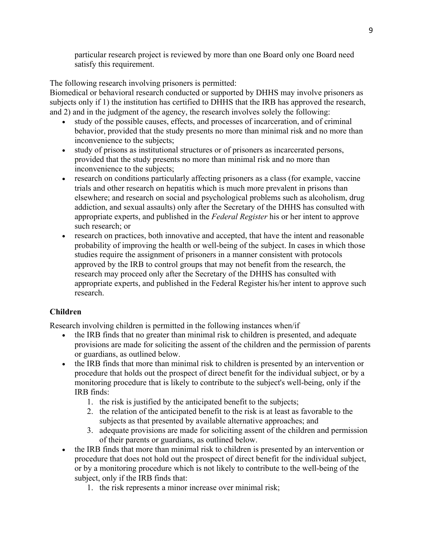particular research project is reviewed by more than one Board only one Board need satisfy this requirement.

The following research involving prisoners is permitted:

Biomedical or behavioral research conducted or supported by DHHS may involve prisoners as subjects only if 1) the institution has certified to DHHS that the IRB has approved the research, and 2) and in the judgment of the agency, the research involves solely the following:

- study of the possible causes, effects, and processes of incarceration, and of criminal behavior, provided that the study presents no more than minimal risk and no more than inconvenience to the subjects;
- study of prisons as institutional structures or of prisoners as incarcerated persons, provided that the study presents no more than minimal risk and no more than inconvenience to the subjects;
- research on conditions particularly affecting prisoners as a class (for example, vaccine trials and other research on hepatitis which is much more prevalent in prisons than elsewhere; and research on social and psychological problems such as alcoholism, drug addiction, and sexual assaults) only after the Secretary of the DHHS has consulted with appropriate experts, and published in the *Federal Register* his or her intent to approve such research; or
- research on practices, both innovative and accepted, that have the intent and reasonable probability of improving the health or well-being of the subject. In cases in which those studies require the assignment of prisoners in a manner consistent with protocols approved by the IRB to control groups that may not benefit from the research, the research may proceed only after the Secretary of the DHHS has consulted with appropriate experts, and published in the Federal Register his/her intent to approve such research.

### **Children**

Research involving children is permitted in the following instances when/if

- the IRB finds that no greater than minimal risk to children is presented, and adequate provisions are made for soliciting the assent of the children and the permission of parents or guardians, as outlined below.
- the IRB finds that more than minimal risk to children is presented by an intervention or procedure that holds out the prospect of direct benefit for the individual subject, or by a monitoring procedure that is likely to contribute to the subject's well-being, only if the IRB finds:
	- 1. the risk is justified by the anticipated benefit to the subjects;
	- 2. the relation of the anticipated benefit to the risk is at least as favorable to the subjects as that presented by available alternative approaches; and
	- 3. adequate provisions are made for soliciting assent of the children and permission of their parents or guardians, as outlined below.
- the IRB finds that more than minimal risk to children is presented by an intervention or procedure that does not hold out the prospect of direct benefit for the individual subject, or by a monitoring procedure which is not likely to contribute to the well-being of the subject, only if the IRB finds that:
	- 1. the risk represents a minor increase over minimal risk;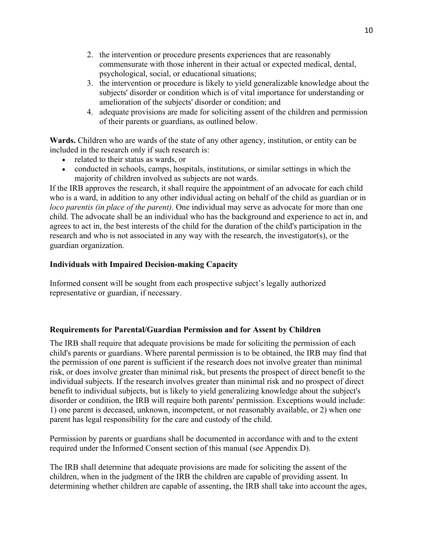- 2. the intervention or procedure presents experiences that are reasonably commensurate with those inherent in their actual or expected medical, dental, psychological, social, or educational situations;
- 3. the intervention or procedure is likely to yield generalizable knowledge about the subjects' disorder or condition which is of vital importance for understanding or amelioration of the subjects' disorder or condition; and
- 4. adequate provisions are made for soliciting assent of the children and permission of their parents or guardians, as outlined below.

**Wards.** Children who are wards of the state of any other agency, institution, or entity can be included in the research only if such research is:

- related to their status as wards, or
- conducted in schools, camps, hospitals, institutions, or similar settings in which the majority of children involved as subjects are not wards.

If the IRB approves the research, it shall require the appointment of an advocate for each child who is a ward, in addition to any other individual acting on behalf of the child as guardian or in *loco parentis (in place of the parent)*. One individual may serve as advocate for more than one child. The advocate shall be an individual who has the background and experience to act in, and agrees to act in, the best interests of the child for the duration of the child's participation in the research and who is not associated in any way with the research, the investigator(s), or the guardian organization.

# **Individuals with Impaired Decision-making Capacity**

Informed consent will be sought from each prospective subject's legally authorized representative or guardian, if necessary.

### **Requirements for Parental/Guardian Permission and for Assent by Children**

The IRB shall require that adequate provisions be made for soliciting the permission of each child's parents or guardians. Where parental permission is to be obtained, the IRB may find that the permission of one parent is sufficient if the research does not involve greater than minimal risk, or does involve greater than minimal risk, but presents the prospect of direct benefit to the individual subjects. If the research involves greater than minimal risk and no prospect of direct benefit to individual subjects, but is likely to yield generalizing knowledge about the subject's disorder or condition, the IRB will require both parents' permission. Exceptions would include: 1) one parent is deceased, unknown, incompetent, or not reasonably available, or 2) when one parent has legal responsibility for the care and custody of the child.

Permission by parents or guardians shall be documented in accordance with and to the extent required under the Informed Consent section of this manual (see Appendix D).

The IRB shall determine that adequate provisions are made for soliciting the assent of the children, when in the judgment of the IRB the children are capable of providing assent. In determining whether children are capable of assenting, the IRB shall take into account the ages,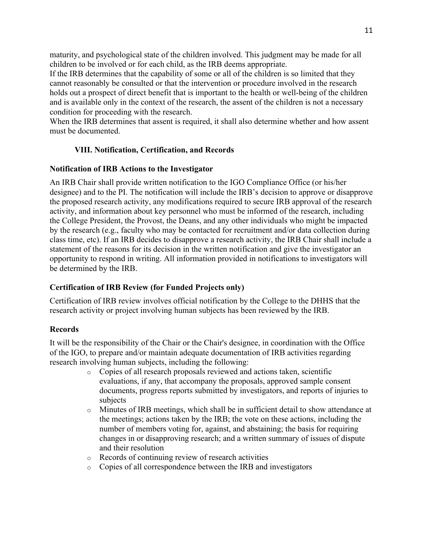maturity, and psychological state of the children involved. This judgment may be made for all children to be involved or for each child, as the IRB deems appropriate.

If the IRB determines that the capability of some or all of the children is so limited that they cannot reasonably be consulted or that the intervention or procedure involved in the research holds out a prospect of direct benefit that is important to the health or well-being of the children and is available only in the context of the research, the assent of the children is not a necessary condition for proceeding with the research.

When the IRB determines that assent is required, it shall also determine whether and how assent must be documented.

# **VIII. Notification, Certification, and Records**

### **Notification of IRB Actions to the Investigator**

An IRB Chair shall provide written notification to the IGO Compliance Office (or his/her designee) and to the PI. The notification will include the IRB's decision to approve or disapprove the proposed research activity, any modifications required to secure IRB approval of the research activity, and information about key personnel who must be informed of the research, including the College President, the Provost, the Deans, and any other individuals who might be impacted by the research (e.g., faculty who may be contacted for recruitment and/or data collection during class time, etc). If an IRB decides to disapprove a research activity, the IRB Chair shall include a statement of the reasons for its decision in the written notification and give the investigator an opportunity to respond in writing. All information provided in notifications to investigators will be determined by the IRB.

### **Certification of IRB Review (for Funded Projects only)**

Certification of IRB review involves official notification by the College to the DHHS that the research activity or project involving human subjects has been reviewed by the IRB.

### **Records**

It will be the responsibility of the Chair or the Chair's designee, in coordination with the Office of the IGO, to prepare and/or maintain adequate documentation of IRB activities regarding research involving human subjects, including the following:

- o Copies of all research proposals reviewed and actions taken, scientific evaluations, if any, that accompany the proposals, approved sample consent documents, progress reports submitted by investigators, and reports of injuries to subjects
- o Minutes of IRB meetings, which shall be in sufficient detail to show attendance at the meetings; actions taken by the IRB; the vote on these actions, including the number of members voting for, against, and abstaining; the basis for requiring changes in or disapproving research; and a written summary of issues of dispute and their resolution
- o Records of continuing review of research activities
- o Copies of all correspondence between the IRB and investigators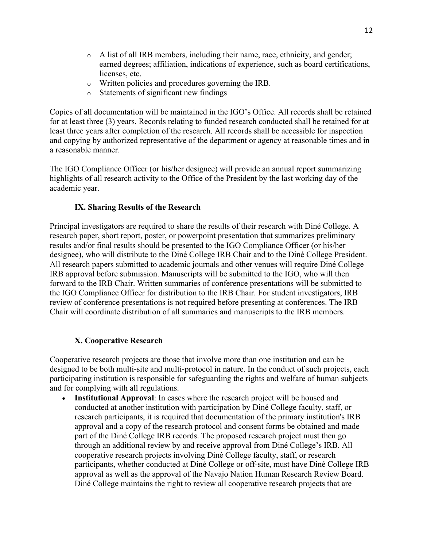- $\circ$  A list of all IRB members, including their name, race, ethnicity, and gender; earned degrees; affiliation, indications of experience, such as board certifications, licenses, etc.
- o Written policies and procedures governing the IRB.
- o Statements of significant new findings

Copies of all documentation will be maintained in the IGO's Office. All records shall be retained for at least three (3) years. Records relating to funded research conducted shall be retained for at least three years after completion of the research. All records shall be accessible for inspection and copying by authorized representative of the department or agency at reasonable times and in a reasonable manner.

The IGO Compliance Officer (or his/her designee) will provide an annual report summarizing highlights of all research activity to the Office of the President by the last working day of the academic year.

# **IX. Sharing Results of the Research**

Principal investigators are required to share the results of their research with Diné College. A research paper, short report, poster, or powerpoint presentation that summarizes preliminary results and/or final results should be presented to the IGO Compliance Officer (or his/her designee), who will distribute to the Diné College IRB Chair and to the Diné College President. All research papers submitted to academic journals and other venues will require Diné College IRB approval before submission. Manuscripts will be submitted to the IGO, who will then forward to the IRB Chair. Written summaries of conference presentations will be submitted to the IGO Compliance Officer for distribution to the IRB Chair. For student investigators, IRB review of conference presentations is not required before presenting at conferences. The IRB Chair will coordinate distribution of all summaries and manuscripts to the IRB members.

# **X. Cooperative Research**

Cooperative research projects are those that involve more than one institution and can be designed to be both multi-site and multi-protocol in nature. In the conduct of such projects, each participating institution is responsible for safeguarding the rights and welfare of human subjects and for complying with all regulations.

• **Institutional Approval**: In cases where the research project will be housed and conducted at another institution with participation by Diné College faculty, staff, or research participants, it is required that documentation of the primary institution's IRB approval and a copy of the research protocol and consent forms be obtained and made part of the Diné College IRB records. The proposed research project must then go through an additional review by and receive approval from Diné College's IRB. All cooperative research projects involving Diné College faculty, staff, or research participants, whether conducted at Diné College or off-site, must have Diné College IRB approval as well as the approval of the Navajo Nation Human Research Review Board. Diné College maintains the right to review all cooperative research projects that are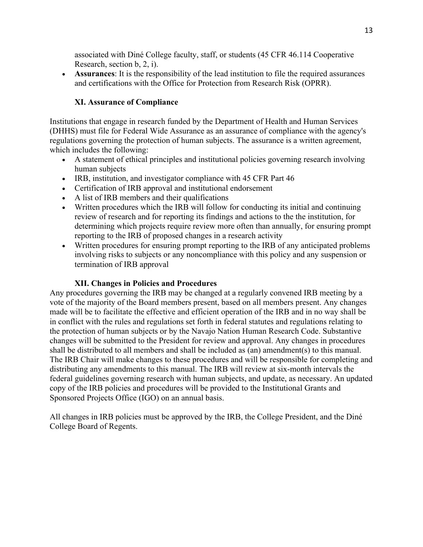associated with Diné College faculty, staff, or students (45 CFR 46.114 Cooperative Research, section b, 2, i).

• **Assurances**: It is the responsibility of the lead institution to file the required assurances and certifications with the Office for Protection from Research Risk (OPRR).

## **XI. Assurance of Compliance**

Institutions that engage in research funded by the Department of Health and Human Services (DHHS) must file for Federal Wide Assurance as an assurance of compliance with the agency's regulations governing the protection of human subjects. The assurance is a written agreement, which includes the following:

- A statement of ethical principles and institutional policies governing research involving human subjects
- IRB, institution, and investigator compliance with 45 CFR Part 46
- Certification of IRB approval and institutional endorsement
- A list of IRB members and their qualifications
- Written procedures which the IRB will follow for conducting its initial and continuing review of research and for reporting its findings and actions to the the institution, for determining which projects require review more often than annually, for ensuring prompt reporting to the IRB of proposed changes in a research activity
- Written procedures for ensuring prompt reporting to the IRB of any anticipated problems involving risks to subjects or any noncompliance with this policy and any suspension or termination of IRB approval

### **XII. Changes in Policies and Procedures**

Any procedures governing the IRB may be changed at a regularly convened IRB meeting by a vote of the majority of the Board members present, based on all members present. Any changes made will be to facilitate the effective and efficient operation of the IRB and in no way shall be in conflict with the rules and regulations set forth in federal statutes and regulations relating to the protection of human subjects or by the Navajo Nation Human Research Code. Substantive changes will be submitted to the President for review and approval. Any changes in procedures shall be distributed to all members and shall be included as (an) amendment(s) to this manual. The IRB Chair will make changes to these procedures and will be responsible for completing and distributing any amendments to this manual. The IRB will review at six-month intervals the federal guidelines governing research with human subjects, and update, as necessary. An updated copy of the IRB policies and procedures will be provided to the Institutional Grants and Sponsored Projects Office (IGO) on an annual basis.

All changes in IRB policies must be approved by the IRB, the College President, and the Diné College Board of Regents.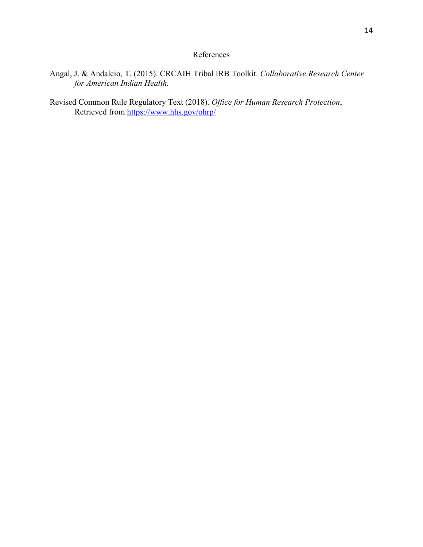# References

- Angal, J. & Andalcio, T. (2015). CRCAIH Tribal IRB Toolkit. *Collaborative Research Center for American Indian Health.*
- Revised Common Rule Regulatory Text (2018). *Office for Human Research Protection*, Retrieved from https://www.hhs.gov/ohrp/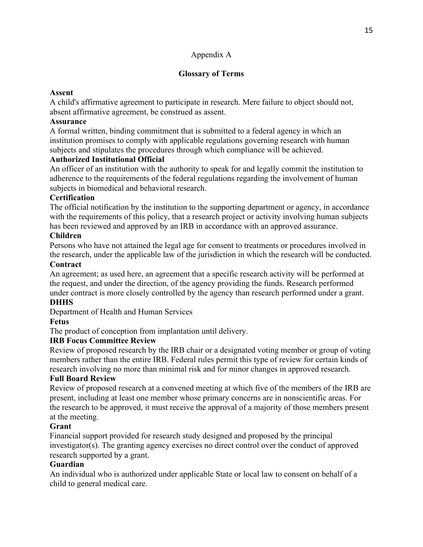# Appendix A

# **Glossary of Terms**

# **Assent**

A child's affirmative agreement to participate in research. Mere failure to object should not, absent affirmative agreement, be construed as assent.

# **Assurance**

A formal written, binding commitment that is submitted to a federal agency in which an institution promises to comply with applicable regulations governing research with human subjects and stipulates the procedures through which compliance will be achieved.

# **Authorized Institutional Official**

An officer of an institution with the authority to speak for and legally commit the institution to adherence to the requirements of the federal regulations regarding the involvement of human subjects in biomedical and behavioral research.

# **Certification**

The official notification by the institution to the supporting department or agency, in accordance with the requirements of this policy, that a research project or activity involving human subjects has been reviewed and approved by an IRB in accordance with an approved assurance.

# **Children**

Persons who have not attained the legal age for consent to treatments or procedures involved in the research, under the applicable law of the jurisdiction in which the research will be conducted.

# **Contract**

An agreement; as used here, an agreement that a specific research activity will be performed at the request, and under the direction, of the agency providing the funds. Research performed under contract is more closely controlled by the agency than research performed under a grant.

# **DHHS**

Department of Health and Human Services

# **Fetus**

The product of conception from implantation until delivery.

### **IRB Focus Committee Review**

Review of proposed research by the IRB chair or a designated voting member or group of voting members rather than the entire IRB. Federal rules permit this type of review for certain kinds of research involving no more than minimal risk and for minor changes in approved research.

### **Full Board Review**

Review of proposed research at a convened meeting at which five of the members of the IRB are present, including at least one member whose primary concerns are in nonscientific areas. For the research to be approved, it must receive the approval of a majority of those members present at the meeting.

### **Grant**

Financial support provided for research study designed and proposed by the principal investigator(s). The granting agency exercises no direct control over the conduct of approved research supported by a grant.

# **Guardian**

An individual who is authorized under applicable State or local law to consent on behalf of a child to general medical care.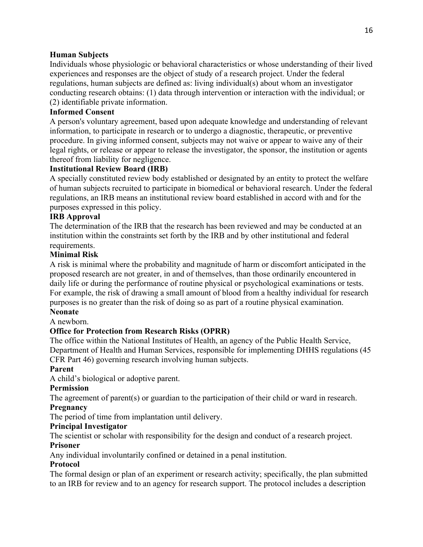### **Human Subjects**

Individuals whose physiologic or behavioral characteristics or whose understanding of their lived experiences and responses are the object of study of a research project. Under the federal regulations, human subjects are defined as: living individual(s) about whom an investigator conducting research obtains: (1) data through intervention or interaction with the individual; or (2) identifiable private information.

# **Informed Consent**

A person's voluntary agreement, based upon adequate knowledge and understanding of relevant information, to participate in research or to undergo a diagnostic, therapeutic, or preventive procedure. In giving informed consent, subjects may not waive or appear to waive any of their legal rights, or release or appear to release the investigator, the sponsor, the institution or agents thereof from liability for negligence.

# **Institutional Review Board (IRB)**

A specially constituted review body established or designated by an entity to protect the welfare of human subjects recruited to participate in biomedical or behavioral research. Under the federal regulations, an IRB means an institutional review board established in accord with and for the purposes expressed in this policy.

# **IRB Approval**

The determination of the IRB that the research has been reviewed and may be conducted at an institution within the constraints set forth by the IRB and by other institutional and federal requirements.

# **Minimal Risk**

A risk is minimal where the probability and magnitude of harm or discomfort anticipated in the proposed research are not greater, in and of themselves, than those ordinarily encountered in daily life or during the performance of routine physical or psychological examinations or tests. For example, the risk of drawing a small amount of blood from a healthy individual for research purposes is no greater than the risk of doing so as part of a routine physical examination. **Neonate**

A newborn.

# **Office for Protection from Research Risks (OPRR)**

The office within the National Institutes of Health, an agency of the Public Health Service, Department of Health and Human Services, responsible for implementing DHHS regulations (45 CFR Part 46) governing research involving human subjects.

### **Parent**

A child's biological or adoptive parent.

### **Permission**

The agreement of parent(s) or guardian to the participation of their child or ward in research. **Pregnancy**

The period of time from implantation until delivery.

# **Principal Investigator**

The scientist or scholar with responsibility for the design and conduct of a research project.

# **Prisoner**

Any individual involuntarily confined or detained in a penal institution.

### **Protocol**

The formal design or plan of an experiment or research activity; specifically, the plan submitted to an IRB for review and to an agency for research support. The protocol includes a description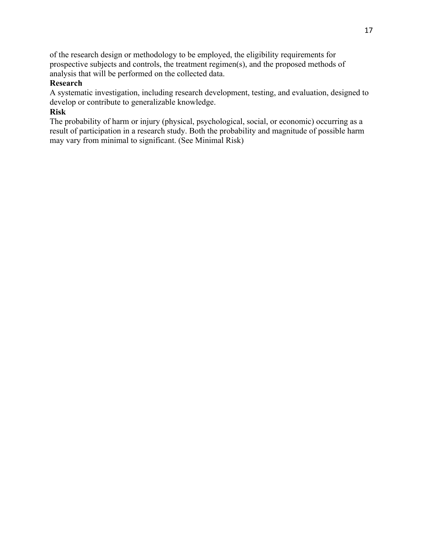of the research design or methodology to be employed, the eligibility requirements for prospective subjects and controls, the treatment regimen(s), and the proposed methods of analysis that will be performed on the collected data.

### **Research**

A systematic investigation, including research development, testing, and evaluation, designed to develop or contribute to generalizable knowledge.

### **Risk**

The probability of harm or injury (physical, psychological, social, or economic) occurring as a result of participation in a research study. Both the probability and magnitude of possible harm may vary from minimal to significant. (See Minimal Risk)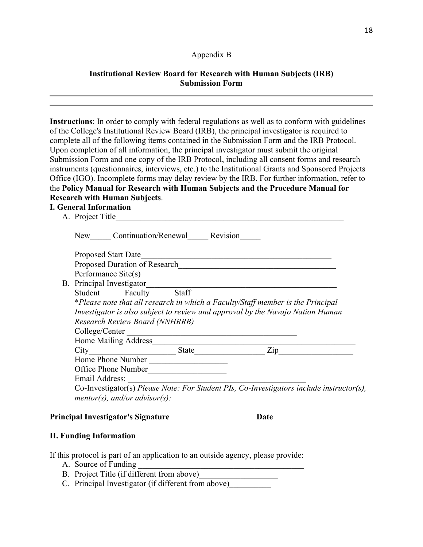### Appendix B

### **Institutional Review Board for Research with Human Subjects (IRB) Submission Form**

**Instructions**: In order to comply with federal regulations as well as to conform with guidelines of the College's Institutional Review Board (IRB), the principal investigator is required to complete all of the following items contained in the Submission Form and the IRB Protocol. Upon completion of all information, the principal investigator must submit the original Submission Form and one copy of the IRB Protocol, including all consent forms and research instruments (questionnaires, interviews, etc.) to the Institutional Grants and Sponsored Projects Office (IGO). Incomplete forms may delay review by the IRB. For further information, refer to the **Policy Manual for Research with Human Subjects and the Procedure Manual for Research with Human Subjects**.

### **I. General Information**

|  | Email Address:                                                                 |  | Co-Investigator(s) Please Note: For Student PIs, Co-Investigators include instructor(s),                             |  |
|--|--------------------------------------------------------------------------------|--|----------------------------------------------------------------------------------------------------------------------|--|
|  |                                                                                |  |                                                                                                                      |  |
|  |                                                                                |  |                                                                                                                      |  |
|  | Office Phone Number                                                            |  |                                                                                                                      |  |
|  | Home Phone Number                                                              |  |                                                                                                                      |  |
|  |                                                                                |  |                                                                                                                      |  |
|  |                                                                                |  |                                                                                                                      |  |
|  | College/Center                                                                 |  | <u> 1989 - Johann Barn, mars ar breithinn ar chuid ann an t-Alban ann an t-Alban ann an t-Alban ann an t-Alban a</u> |  |
|  | Research Review Board (NNHRRB)                                                 |  |                                                                                                                      |  |
|  | Investigator is also subject to review and approval by the Navajo Nation Human |  |                                                                                                                      |  |
|  |                                                                                |  | *Please note that all research in which a Faculty/Staff member is the Principal                                      |  |
|  | Student Faculty _______ Staff                                                  |  |                                                                                                                      |  |
|  |                                                                                |  | B. Principal Investigator                                                                                            |  |
|  |                                                                                |  |                                                                                                                      |  |
|  |                                                                                |  |                                                                                                                      |  |
|  |                                                                                |  | Proposed Start Date                                                                                                  |  |
|  | New Continuation/Renewal Revision                                              |  |                                                                                                                      |  |
|  |                                                                                |  |                                                                                                                      |  |

### **II. Funding Information**

If this protocol is part of an application to an outside agency, please provide:

- A. Source of Funding
- B. Project Title (if different from above)
- C. Principal Investigator (if different from above)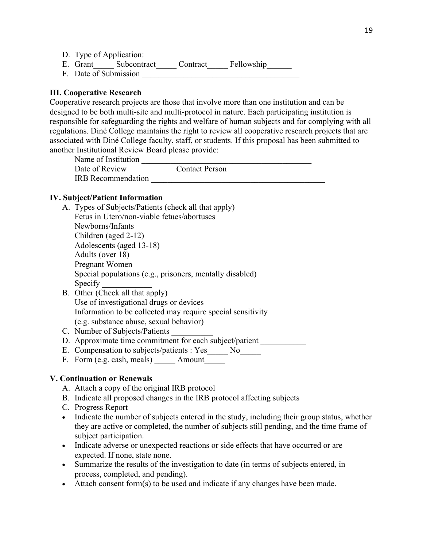- D. Type of Application:
- E. Grant\_\_\_\_\_ Subcontract\_\_\_\_\_ Contract\_\_\_\_\_ Fellowship\_\_\_\_\_\_
- F. Date of Submission \_\_\_\_\_\_\_\_\_\_\_\_\_\_\_\_\_\_\_\_\_\_\_\_\_\_\_\_\_\_\_\_\_\_\_\_\_\_

# **III. Cooperative Research**

Cooperative research projects are those that involve more than one institution and can be designed to be both multi-site and multi-protocol in nature. Each participating institution is responsible for safeguarding the rights and welfare of human subjects and for complying with all regulations. Diné College maintains the right to review all cooperative research projects that are associated with Diné College faculty, staff, or students. If this proposal has been submitted to another Institutional Review Board please provide:

Name of Institution \_\_\_\_\_\_\_\_\_\_\_\_\_\_\_\_\_\_\_\_\_\_\_\_\_\_\_\_\_\_\_\_\_\_\_\_\_\_\_\_\_ Date of Review \_\_\_\_\_\_\_\_\_\_\_ Contact Person \_\_\_\_\_\_\_\_\_\_\_\_\_\_\_\_\_\_ IRB Recommendation

### **IV. Subject/Patient Information**

- A. Types of Subjects/Patients (check all that apply) Fetus in Utero/non-viable fetues/abortuses Newborns/Infants Children (aged 2-12) Adolescents (aged 13-18) Adults (over 18) Pregnant Women Special populations (e.g., prisoners, mentally disabled) Specify B. Other (Check all that apply) Use of investigational drugs or devices Information to be collected may require special sensitivity
	- (e.g. substance abuse, sexual behavior)
- C. Number of Subjects/Patients
- D. Approximate time commitment for each subject/patient \_\_\_\_\_\_\_\_\_\_\_\_\_\_\_\_\_\_\_\_\_\_\_\_
- E. Compensation to subjects/patients : Yes No
- F. Form (e.g. cash, meals) \_\_\_\_\_\_ Amount\_\_\_\_\_

### **V. Continuation or Renewals**

- A. Attach a copy of the original IRB protocol
- B. Indicate all proposed changes in the IRB protocol affecting subjects
- C. Progress Report
- Indicate the number of subjects entered in the study, including their group status, whether they are active or completed, the number of subjects still pending, and the time frame of subject participation.
- Indicate adverse or unexpected reactions or side effects that have occurred or are expected. If none, state none.
- Summarize the results of the investigation to date (in terms of subjects entered, in process, completed, and pending).
- Attach consent form(s) to be used and indicate if any changes have been made.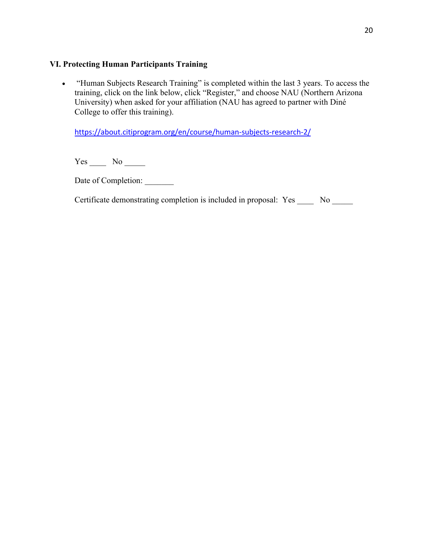### **VI. Protecting Human Participants Training**

• "Human Subjects Research Training" is completed within the last 3 years. To access the training, click on the link below, click "Register," and choose NAU (Northern Arizona University) when asked for your affiliation (NAU has agreed to partner with Diné College to offer this training).

https://about.citiprogram.org/en/course/human-subjects-research-2/

 $Yes \_\_ No \_\_$ 

Date of Completion: \_\_\_\_\_\_\_\_

Certificate demonstrating completion is included in proposal: Yes \_\_\_\_\_ No \_\_\_\_\_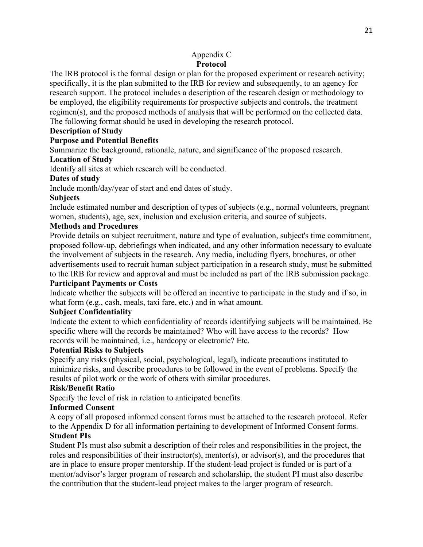### Appendix C **Protocol**

The IRB protocol is the formal design or plan for the proposed experiment or research activity; specifically, it is the plan submitted to the IRB for review and subsequently, to an agency for research support. The protocol includes a description of the research design or methodology to be employed, the eligibility requirements for prospective subjects and controls, the treatment regimen(s), and the proposed methods of analysis that will be performed on the collected data. The following format should be used in developing the research protocol.

### **Description of Study**

### **Purpose and Potential Benefits**

Summarize the background, rationale, nature, and significance of the proposed research.

### **Location of Study**

Identify all sites at which research will be conducted.

### **Dates of study**

Include month/day/year of start and end dates of study.

### **Subjects**

Include estimated number and description of types of subjects (e.g., normal volunteers, pregnant women, students), age, sex, inclusion and exclusion criteria, and source of subjects.

### **Methods and Procedures**

Provide details on subject recruitment, nature and type of evaluation, subject's time commitment, proposed follow-up, debriefings when indicated, and any other information necessary to evaluate the involvement of subjects in the research. Any media, including flyers, brochures, or other advertisements used to recruit human subject participation in a research study, must be submitted to the IRB for review and approval and must be included as part of the IRB submission package.

### **Participant Payments or Costs**

Indicate whether the subjects will be offered an incentive to participate in the study and if so, in what form (e.g., cash, meals, taxi fare, etc.) and in what amount.

### **Subject Confidentiality**

Indicate the extent to which confidentiality of records identifying subjects will be maintained. Be specific where will the records be maintained? Who will have access to the records? How records will be maintained, i.e., hardcopy or electronic? Etc.

### **Potential Risks to Subjects**

Specify any risks (physical, social, psychological, legal), indicate precautions instituted to minimize risks, and describe procedures to be followed in the event of problems. Specify the results of pilot work or the work of others with similar procedures.

### **Risk/Benefit Ratio**

Specify the level of risk in relation to anticipated benefits.

### **Informed Consent**

A copy of all proposed informed consent forms must be attached to the research protocol. Refer to the Appendix D for all information pertaining to development of Informed Consent forms.

### **Student PIs**

Student PIs must also submit a description of their roles and responsibilities in the project, the roles and responsibilities of their instructor(s), mentor(s), or advisor(s), and the procedures that are in place to ensure proper mentorship. If the student-lead project is funded or is part of a mentor/advisor's larger program of research and scholarship, the student PI must also describe the contribution that the student-lead project makes to the larger program of research.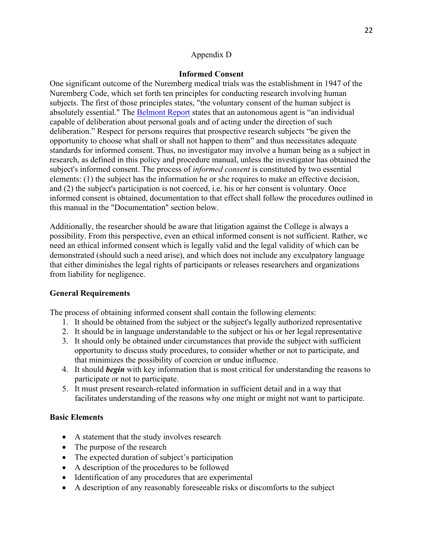### Appendix D

### **Informed Consent**

One significant outcome of the Nuremberg medical trials was the establishment in 1947 of the Nuremberg Code, which set forth ten principles for conducting research involving human subjects. The first of those principles states, "the voluntary consent of the human subject is absolutely essential." The Belmont Report states that an autonomous agent is "an individual capable of deliberation about personal goals and of acting under the direction of such deliberation." Respect for persons requires that prospective research subjects "be given the opportunity to choose what shall or shall not happen to them" and thus necessitates adequate standards for informed consent. Thus, no investigator may involve a human being as a subject in research, as defined in this policy and procedure manual, unless the investigator has obtained the subject's informed consent. The process of *informed consent* is constituted by two essential elements: (1) the subject has the information he or she requires to make an effective decision, and (2) the subject's participation is not coerced, i.e. his or her consent is voluntary. Once informed consent is obtained, documentation to that effect shall follow the procedures outlined in this manual in the "Documentation" section below.

Additionally, the researcher should be aware that litigation against the College is always a possibility. From this perspective, even an ethical informed consent is not sufficient. Rather, we need an ethical informed consent which is legally valid and the legal validity of which can be demonstrated (should such a need arise), and which does not include any exculpatory language that either diminishes the legal rights of participants or releases researchers and organizations from liability for negligence.

### **General Requirements**

The process of obtaining informed consent shall contain the following elements:

- 1. It should be obtained from the subject or the subject's legally authorized representative
- 2. It should be in language understandable to the subject or his or her legal representative
- 3. It should only be obtained under circumstances that provide the subject with sufficient opportunity to discuss study procedures, to consider whether or not to participate, and that minimizes the possibility of coercion or undue influence.
- 4. It should *begin* with key information that is most critical for understanding the reasons to participate or not to participate.
- 5. It must present research-related information in sufficient detail and in a way that facilitates understanding of the reasons why one might or might not want to participate.

### **Basic Elements**

- A statement that the study involves research
- The purpose of the research
- The expected duration of subject's participation
- A description of the procedures to be followed
- Identification of any procedures that are experimental
- A description of any reasonably foreseeable risks or discomforts to the subject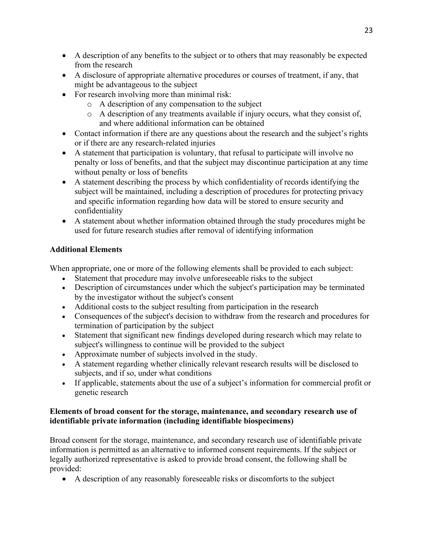- A description of any benefits to the subject or to others that may reasonably be expected from the research
- A disclosure of appropriate alternative procedures or courses of treatment, if any, that might be advantageous to the subject
- For research involving more than minimal risk:
	- o A description of any compensation to the subject
	- o A description of any treatments available if injury occurs, what they consist of, and where additional information can be obtained
- Contact information if there are any questions about the research and the subject's rights or if there are any research-related injuries
- A statement that participation is voluntary, that refusal to participate will involve no penalty or loss of benefits, and that the subject may discontinue participation at any time without penalty or loss of benefits
- A statement describing the process by which confidentiality of records identifying the subject will be maintained, including a description of procedures for protecting privacy and specific information regarding how data will be stored to ensure security and confidentiality
- A statement about whether information obtained through the study procedures might be used for future research studies after removal of identifying information

# **Additional Elements**

When appropriate, one or more of the following elements shall be provided to each subject:

- Statement that procedure may involve unforeseeable risks to the subject
- Description of circumstances under which the subject's participation may be terminated by the investigator without the subject's consent
- Additional costs to the subject resulting from participation in the research
- Consequences of the subject's decision to withdraw from the research and procedures for termination of participation by the subject
- Statement that significant new findings developed during research which may relate to subject's willingness to continue will be provided to the subject
- Approximate number of subjects involved in the study.
- A statement regarding whether clinically relevant research results will be disclosed to subjects, and if so, under what conditions
- If applicable, statements about the use of a subject's information for commercial profit or genetic research

# **Elements of broad consent for the storage, maintenance, and secondary research use of identifiable private information (including identifiable biospecimens)**

Broad consent for the storage, maintenance, and secondary research use of identifiable private information is permitted as an alternative to informed consent requirements. If the subject or legally authorized representative is asked to provide broad consent, the following shall be provided:

• A description of any reasonably foreseeable risks or discomforts to the subject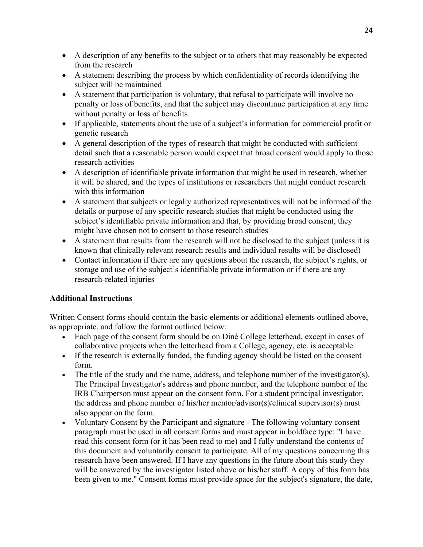- A description of any benefits to the subject or to others that may reasonably be expected from the research
- A statement describing the process by which confidentiality of records identifying the subject will be maintained
- A statement that participation is voluntary, that refusal to participate will involve no penalty or loss of benefits, and that the subject may discontinue participation at any time without penalty or loss of benefits
- If applicable, statements about the use of a subject's information for commercial profit or genetic research
- A general description of the types of research that might be conducted with sufficient detail such that a reasonable person would expect that broad consent would apply to those research activities
- A description of identifiable private information that might be used in research, whether it will be shared, and the types of institutions or researchers that might conduct research with this information
- A statement that subjects or legally authorized representatives will not be informed of the details or purpose of any specific research studies that might be conducted using the subject's identifiable private information and that, by providing broad consent, they might have chosen not to consent to those research studies
- A statement that results from the research will not be disclosed to the subject (unless it is known that clinically relevant research results and individual results will be disclosed)
- Contact information if there are any questions about the research, the subject's rights, or storage and use of the subject's identifiable private information or if there are any research-related injuries

### **Additional Instructions**

Written Consent forms should contain the basic elements or additional elements outlined above, as appropriate, and follow the format outlined below:

- Each page of the consent form should be on Diné College letterhead, except in cases of collaborative projects when the letterhead from a College, agency, etc. is acceptable.
- If the research is externally funded, the funding agency should be listed on the consent form.
- The title of the study and the name, address, and telephone number of the investigator(s). The Principal Investigator's address and phone number, and the telephone number of the IRB Chairperson must appear on the consent form. For a student principal investigator, the address and phone number of his/her mentor/advisor(s)/clinical supervisor(s) must also appear on the form.
- Voluntary Consent by the Participant and signature The following voluntary consent paragraph must be used in all consent forms and must appear in boldface type: "I have read this consent form (or it has been read to me) and I fully understand the contents of this document and voluntarily consent to participate. All of my questions concerning this research have been answered. If I have any questions in the future about this study they will be answered by the investigator listed above or his/her staff. A copy of this form has been given to me." Consent forms must provide space for the subject's signature, the date,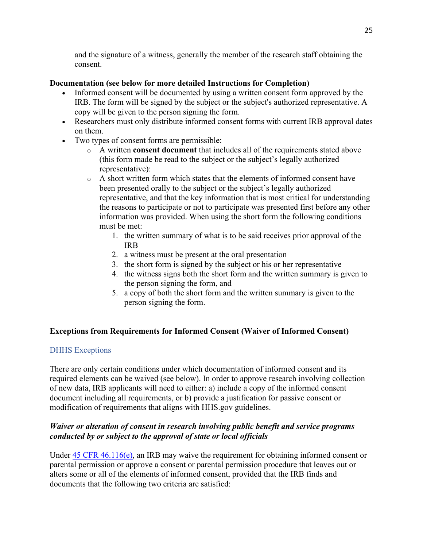and the signature of a witness, generally the member of the research staff obtaining the consent.

## **Documentation (see below for more detailed Instructions for Completion)**

- Informed consent will be documented by using a written consent form approved by the IRB. The form will be signed by the subject or the subject's authorized representative. A copy will be given to the person signing the form.
- Researchers must only distribute informed consent forms with current IRB approval dates on them.
- Two types of consent forms are permissible:
	- o A written **consent document** that includes all of the requirements stated above (this form made be read to the subject or the subject's legally authorized representative):
	- o A short written form which states that the elements of informed consent have been presented orally to the subject or the subject's legally authorized representative, and that the key information that is most critical for understanding the reasons to participate or not to participate was presented first before any other information was provided. When using the short form the following conditions must be met:
		- 1. the written summary of what is to be said receives prior approval of the IRB
		- 2. a witness must be present at the oral presentation
		- 3. the short form is signed by the subject or his or her representative
		- 4. the witness signs both the short form and the written summary is given to the person signing the form, and
		- 5. a copy of both the short form and the written summary is given to the person signing the form.

# **Exceptions from Requirements for Informed Consent (Waiver of Informed Consent)**

# DHHS Exceptions

There are only certain conditions under which documentation of informed consent and its required elements can be waived (see below). In order to approve research involving collection of new data, IRB applicants will need to either: a) include a copy of the informed consent document including all requirements, or b) provide a justification for passive consent or modification of requirements that aligns with HHS.gov guidelines.

# *Waiver or alteration of consent in research involving public benefit and service programs conducted by or subject to the approval of state or local officials*

Under 45 CFR 46.116(e), an IRB may waive the requirement for obtaining informed consent or parental permission or approve a consent or parental permission procedure that leaves out or alters some or all of the elements of informed consent, provided that the IRB finds and documents that the following two criteria are satisfied: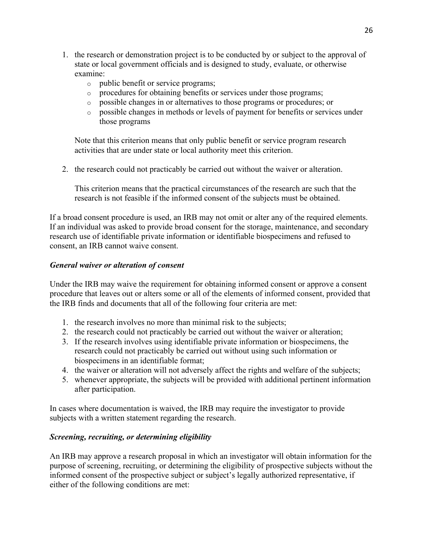- 1. the research or demonstration project is to be conducted by or subject to the approval of state or local government officials and is designed to study, evaluate, or otherwise examine:
	- o public benefit or service programs;
	- o procedures for obtaining benefits or services under those programs;
	- o possible changes in or alternatives to those programs or procedures; or
	- o possible changes in methods or levels of payment for benefits or services under those programs

Note that this criterion means that only public benefit or service program research activities that are under state or local authority meet this criterion.

2. the research could not practicably be carried out without the waiver or alteration.

This criterion means that the practical circumstances of the research are such that the research is not feasible if the informed consent of the subjects must be obtained.

If a broad consent procedure is used, an IRB may not omit or alter any of the required elements. If an individual was asked to provide broad consent for the storage, maintenance, and secondary research use of identifiable private information or identifiable biospecimens and refused to consent, an IRB cannot waive consent.

### *General waiver or alteration of consent*

Under the IRB may waive the requirement for obtaining informed consent or approve a consent procedure that leaves out or alters some or all of the elements of informed consent, provided that the IRB finds and documents that all of the following four criteria are met:

- 1. the research involves no more than minimal risk to the subjects;
- 2. the research could not practicably be carried out without the waiver or alteration;
- 3. If the research involves using identifiable private information or biospecimens, the research could not practicably be carried out without using such information or biospecimens in an identifiable format;
- 4. the waiver or alteration will not adversely affect the rights and welfare of the subjects;
- 5. whenever appropriate, the subjects will be provided with additional pertinent information after participation.

In cases where documentation is waived, the IRB may require the investigator to provide subjects with a written statement regarding the research.

### *Screening, recruiting, or determining eligibility*

An IRB may approve a research proposal in which an investigator will obtain information for the purpose of screening, recruiting, or determining the eligibility of prospective subjects without the informed consent of the prospective subject or subject's legally authorized representative, if either of the following conditions are met: